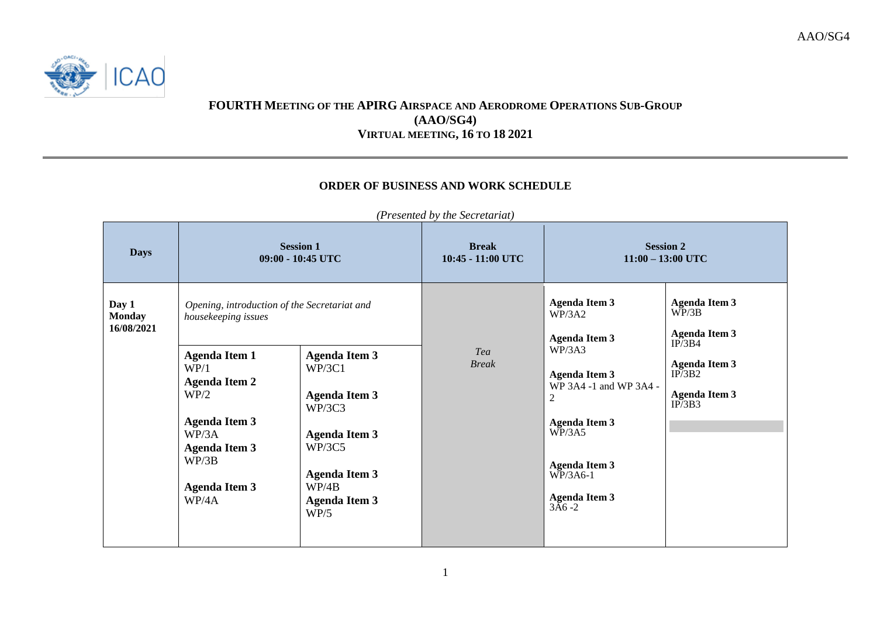

AAO/SG4



## **FOURTH MEETING OF THE APIRG AIRSPACE AND AERODROME OPERATIONS SUB-GROUP (AAO/SG4) VIRTUAL MEETING, 16 TO 18 2021**

## **ORDER OF BUSINESS AND WORK SCHEDULE**

| <b>Session 1</b><br><b>Break</b><br><b>Days</b><br>09:00 - 10:45 UTC<br>10:45 - 11:00 UTC                                                                                                                                                                                                                                                                                                                                                                                    | <b>Session 2</b><br>$11:00 - 13:00$ UTC                                                                                                                                                                                                                                                                                                                                                  |  |
|------------------------------------------------------------------------------------------------------------------------------------------------------------------------------------------------------------------------------------------------------------------------------------------------------------------------------------------------------------------------------------------------------------------------------------------------------------------------------|------------------------------------------------------------------------------------------------------------------------------------------------------------------------------------------------------------------------------------------------------------------------------------------------------------------------------------------------------------------------------------------|--|
| Day 1<br>Opening, introduction of the Secretariat and<br><b>Monday</b><br>housekeeping issues<br>16/08/2021<br>Tea<br><b>Agenda Item 1</b><br><b>Agenda Item 3</b><br><b>Break</b><br>WP/1<br>WP/3C1<br><b>Agenda Item 2</b><br>WP/2<br><b>Agenda Item 3</b><br>WP/3C3<br><b>Agenda Item 3</b><br>WP/3A<br><b>Agenda Item 3</b><br>WP/3C5<br><b>Agenda Item 3</b><br>WP/3B<br><b>Agenda Item 3</b><br>WP/4B<br><b>Agenda Item 3</b><br>WP/4A<br><b>Agenda Item 3</b><br>WP/5 | <b>Agenda Item 3</b><br><b>Agenda Item 3</b><br>WP/3B<br>WP/3A2<br><b>Agenda Item 3</b><br><b>Agenda Item 3</b><br>IP/3B4<br>WP/3A3<br><b>Agenda Item 3</b><br>IP/3B2<br><b>Agenda Item 3</b><br>WP 3A4 -1 and WP 3A4 -<br><b>Agenda Item 3</b><br>$\mathfrak{2}$<br>IP/3B3<br><b>Agenda Item 3</b><br>WP/3A5<br><b>Agenda Item 3</b><br>$WP/3A6-1$<br><b>Agenda Item 3</b><br>$3A6 - 2$ |  |

*(Presented by the Secretariat)*